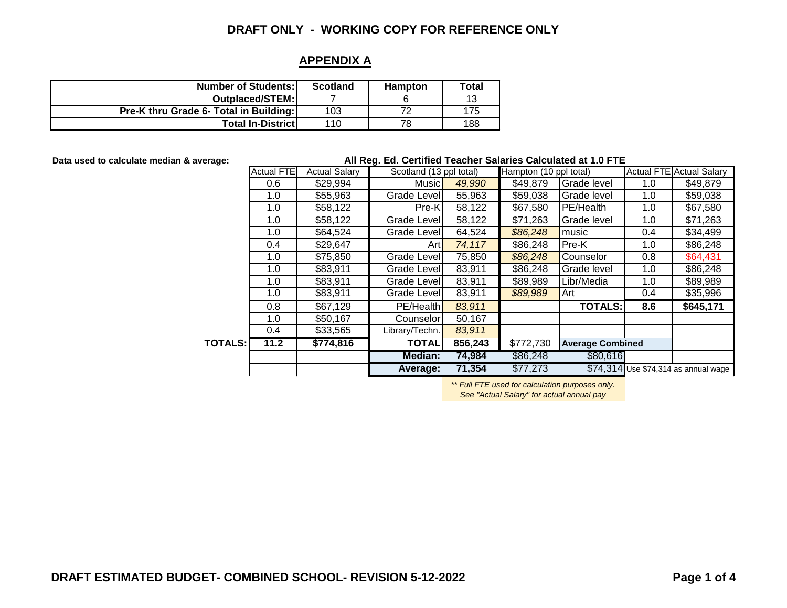### **APPENDIX A**

| <b>Number of Students:</b>             | <b>Scotland</b> | <b>Hampton</b> | Total |
|----------------------------------------|-----------------|----------------|-------|
| Outplaced/STEM:                        |                 |                | 13    |
| Pre-K thru Grade 6- Total in Building: | 103             | ⇁              | 175   |
| <b>Total In-District</b>               | 110             | 78             | 188   |

**Data used to calculate median & average:**

#### **All Reg. Ed. Certified Teacher Salaries Calculated at 1.0 FTE**

|                | <b>Actual FTE</b> | <b>Actual Salary</b> | Scotland (13 ppl total) |         | Hampton (10 ppl total)               |                |     | <b>Actual FTE Actual Salary</b>      |
|----------------|-------------------|----------------------|-------------------------|---------|--------------------------------------|----------------|-----|--------------------------------------|
|                | 0.6               | \$29,994             | <b>Music</b>            | 49,990  | \$49,879                             | Grade level    | 1.0 | \$49,879                             |
|                | 1.0               | \$55,963             | Grade Level             | 55,963  | \$59,038                             | Grade level    | 1.0 | \$59,038                             |
|                | 1.0               | \$58,122             | Pre-K                   | 58,122  | \$67,580                             | PE/Health      | 1.0 | \$67,580                             |
|                | 1.0               | \$58,122             | Grade Level             | 58,122  | \$71,263                             | Grade level    | 1.0 | \$71,263                             |
|                | 1.0               | \$64,524             | Grade Level             | 64,524  | \$86,248                             | music          | 0.4 | \$34,499                             |
|                | 0.4               | \$29,647             | Artl                    | 74,117  | \$86,248                             | Pre-K          | 1.0 | \$86,248                             |
|                | 1.0               | \$75,850             | Grade Level             | 75,850  | \$86,248                             | Counselor      | 0.8 | \$64,431                             |
|                | 1.0               | \$83,911             | Grade Level             | 83,911  | \$86,248                             | Grade level    | 1.0 | \$86,248                             |
|                | 1.0               | \$83,911             | Grade Levell            | 83,911  | \$89,989                             | Libr/Media     | 1.0 | \$89,989                             |
|                | 1.0               | \$83,911             | Grade Level             | 83,911  | \$89,989                             | Art            | 0.4 | \$35,996                             |
|                | 0.8               | \$67,129             | PE/Health               | 83,911  |                                      | <b>TOTALS:</b> | 8.6 | \$645,171                            |
|                | 1.0               | \$50,167             | Counselorl              | 50,167  |                                      |                |     |                                      |
|                | $0.4^{\circ}$     | \$33,565             | Library/Techn.          | 83,911  |                                      |                |     |                                      |
| <b>TOTALS:</b> | 11.2              | \$774,816            | TOTAL                   | 856,243 | \$772,730<br><b>Average Combined</b> |                |     |                                      |
|                |                   |                      | <b>Median:</b>          | 74,984  | \$86,248                             | \$80,616       |     |                                      |
|                |                   |                      | Average:                | 71,354  | \$77,273                             |                |     | \$74,314 Use \$74,314 as annual wage |

*\*\* Full FTE used for calculation purposes only.* 

*See "Actual Salary" for actual annual pay*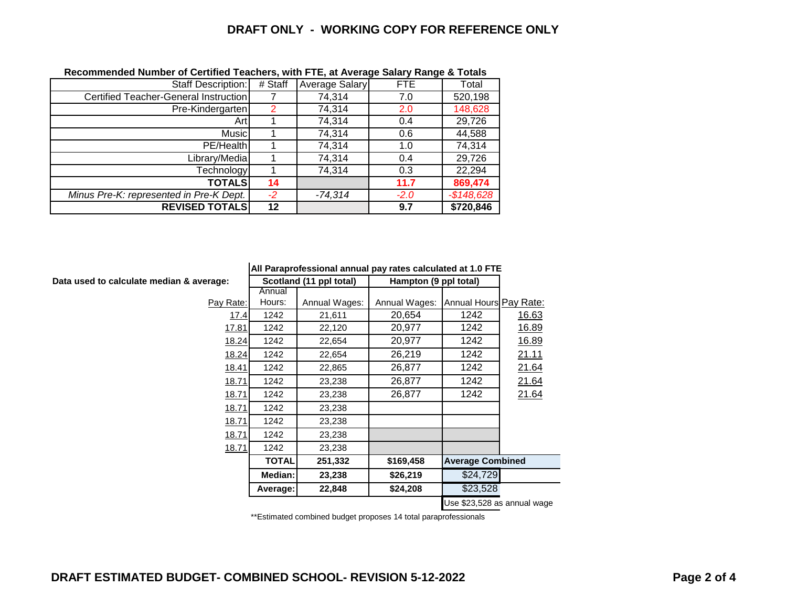| Staff Description:                      | # Staff | Average Salary | <b>FTE</b> | Total       |  |  |  |
|-----------------------------------------|---------|----------------|------------|-------------|--|--|--|
| Certified Teacher-General Instruction   |         | 74,314         | 7.0        | 520,198     |  |  |  |
| Pre-Kindergarten                        | 2       | 74,314         | 2.0        | 148,628     |  |  |  |
| Artl                                    |         | 74,314         | 0.4        | 29,726      |  |  |  |
| Music                                   |         | 74,314         | 0.6        | 44,588      |  |  |  |
| PE/Health                               |         | 74,314         | 1.0        | 74,314      |  |  |  |
| Library/Media                           |         | 74,314         | 0.4        | 29,726      |  |  |  |
| Technology                              |         | 74,314         | 0.3        | 22,294      |  |  |  |
| <b>TOTALS</b>                           | 14      |                | 11.7       | 869,474     |  |  |  |
| Minus Pre-K: represented in Pre-K Dept. | $-2$    | -74,314        | $-2.0$     | $-$148,628$ |  |  |  |
| <b>REVISED TOTALS</b>                   | 12      |                | 9.7        | \$720,846   |  |  |  |

#### **Recommended Number of Certified Teachers, with FTE, at Average Salary Range & Totals**

**Data used to calculate median & averag** 

| erage:       |              | Scotland (11 ppl total) |               | Hampton (9 ppl total)<br>Annual Hours Pay Rate:<br>1242<br>20,654<br>20,977<br>1242 |       |
|--------------|--------------|-------------------------|---------------|-------------------------------------------------------------------------------------|-------|
|              | Annual       |                         |               |                                                                                     |       |
| Pay Rate:    | Hours:       | Annual Wages:           | Annual Wages: |                                                                                     |       |
| 17.4         | 1242         | 21,611                  |               |                                                                                     | 16.63 |
| 17.81        | 1242         | 22,120                  |               |                                                                                     | 16.89 |
| 18.24        | 1242         | 22,654                  | 20,977        | 1242                                                                                | 16.89 |
| 18.24        | 1242         | 22,654                  | 26,219        | 1242                                                                                | 21.11 |
| 18.41        | 1242         | 22,865                  | 26,877        | 1242                                                                                | 21.64 |
| <u>18.71</u> | 1242         | 23,238                  | 26,877        | 1242                                                                                | 21.64 |
| 18.71        | 1242         | 23,238                  | 26,877        | 1242                                                                                | 21.64 |
| 18.71        | 1242         | 23,238                  |               |                                                                                     |       |
| 18.71        | 1242         | 23,238                  |               |                                                                                     |       |
| 18.71        | 1242         | 23,238                  |               |                                                                                     |       |
| 18.71        | 1242         | 23,238                  |               |                                                                                     |       |
|              | <b>TOTAL</b> | 251,332                 | \$169,458     | <b>Average Combined</b>                                                             |       |
|              | Median:      | 23,238                  | \$26,219      | \$24,729                                                                            |       |
|              | Average:     | 22,848                  | \$24,208      | \$23,528                                                                            |       |
|              |              |                         |               | Use \$23,528 as annual wage                                                         |       |

\*\*Estimated combined budget proposes 14 total paraprofessionals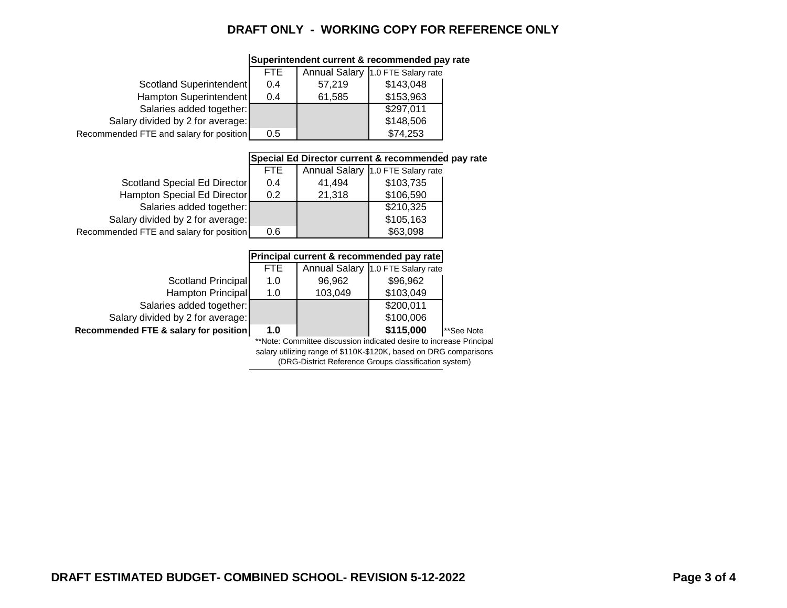|                                                                   | <b>FTE</b>                                                          | <b>Annual Salary</b> | 1.0 FTE Salary rate                      |            |  |  |  |  |
|-------------------------------------------------------------------|---------------------------------------------------------------------|----------------------|------------------------------------------|------------|--|--|--|--|
| Scotland Superintendent                                           | 0.4                                                                 | 57,219               | \$143,048                                |            |  |  |  |  |
| Hampton Superintendent                                            | 0.4                                                                 | 61,585               | \$153,963                                |            |  |  |  |  |
| Salaries added together:                                          |                                                                     |                      | \$297,011                                |            |  |  |  |  |
| Salary divided by 2 for average:                                  |                                                                     |                      | \$148,506                                |            |  |  |  |  |
| Recommended FTE and salary for position                           | 0.5                                                                 |                      | \$74,253                                 |            |  |  |  |  |
|                                                                   |                                                                     |                      |                                          |            |  |  |  |  |
|                                                                   | Special Ed Director current & recommended pay rate                  |                      |                                          |            |  |  |  |  |
|                                                                   | <b>FTE</b>                                                          |                      | Annual Salary 1.0 FTE Salary rate        |            |  |  |  |  |
| Scotland Special Ed Director                                      | 0.4                                                                 | 41,494               | \$103,735                                |            |  |  |  |  |
| Hampton Special Ed Director                                       | 0.2                                                                 | 21,318               | \$106,590                                |            |  |  |  |  |
| Salaries added together:                                          |                                                                     |                      | \$210,325                                |            |  |  |  |  |
| Salary divided by 2 for average:                                  |                                                                     |                      | \$105,163                                |            |  |  |  |  |
| Recommended FTE and salary for position                           | 0.6                                                                 |                      | \$63,098                                 |            |  |  |  |  |
|                                                                   |                                                                     |                      |                                          |            |  |  |  |  |
|                                                                   |                                                                     |                      | Principal current & recommended pay rate |            |  |  |  |  |
|                                                                   | <b>FTE</b>                                                          | <b>Annual Salary</b> | 1.0 FTE Salary rate                      |            |  |  |  |  |
| <b>Scotland Principal</b>                                         | 1.0                                                                 | 96,962               | \$96,962                                 |            |  |  |  |  |
| Hampton Principal                                                 | 1.0                                                                 | 103,049              | \$103,049                                |            |  |  |  |  |
| Salaries added together:                                          |                                                                     |                      | \$200,011                                |            |  |  |  |  |
| Salary divided by 2 for average:                                  |                                                                     |                      | \$100,006                                |            |  |  |  |  |
| Recommended FTE & salary for position                             | 1.0                                                                 |                      | \$115,000                                | **See Note |  |  |  |  |
|                                                                   | **Note: Committee discussion indicated desire to increase Principal |                      |                                          |            |  |  |  |  |
| salary utilizing range of \$110K-\$120K, based on DRG comparisons |                                                                     |                      |                                          |            |  |  |  |  |

### **Superintendent current & recommended pay rate**

(DRG-District Reference Groups classification system)